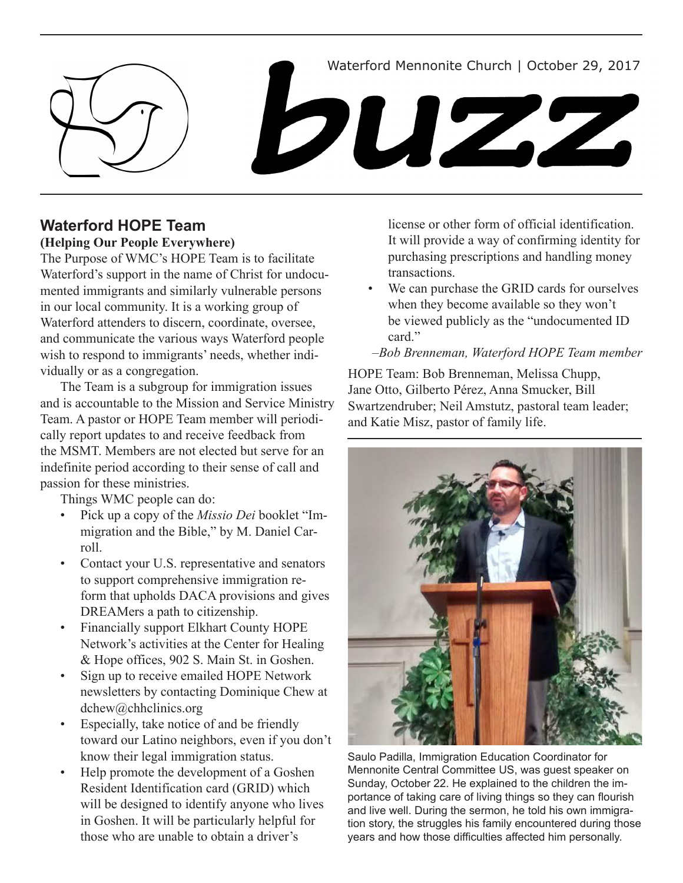Waterford Mennonite Church | October 29, 2017

# buzz

# **Waterford HOPE Team**

# **(Helping Our People Everywhere)**

The Purpose of WMC's HOPE Team is to facilitate Waterford's support in the name of Christ for undocumented immigrants and similarly vulnerable persons in our local community. It is a working group of Waterford attenders to discern, coordinate, oversee, and communicate the various ways Waterford people wish to respond to immigrants' needs, whether individually or as a congregation.

The Team is a subgroup for immigration issues and is accountable to the Mission and Service Ministry Team. A pastor or HOPE Team member will periodically report updates to and receive feedback from the MSMT. Members are not elected but serve for an indefinite period according to their sense of call and passion for these ministries.

Things WMC people can do:

- Pick up a copy of the *Missio Dei* booklet "Immigration and the Bible," by M. Daniel Carroll.
- Contact your U.S. representative and senators to support comprehensive immigration reform that upholds DACA provisions and gives DREAMers a path to citizenship.
- • Financially support Elkhart County HOPE Network's activities at the Center for Healing & Hope offices, 902 S. Main St. in Goshen.
- Sign up to receive emailed HOPE Network newsletters by contacting Dominique Chew at dchew@chhclinics.org
- Especially, take notice of and be friendly toward our Latino neighbors, even if you don't know their legal immigration status.
- Help promote the development of a Goshen Resident Identification card (GRID) which will be designed to identify anyone who lives in Goshen. It will be particularly helpful for those who are unable to obtain a driver's

license or other form of official identification. It will provide a way of confirming identity for purchasing prescriptions and handling money transactions.

- We can purchase the GRID cards for ourselves when they become available so they won't be viewed publicly as the "undocumented ID card."
- –*Bob Brenneman, Waterford HOPE Team member*

HOPE Team: Bob Brenneman, Melissa Chupp, Jane Otto, Gilberto Pérez, Anna Smucker, Bill Swartzendruber; Neil Amstutz, pastoral team leader; and Katie Misz, pastor of family life.



Saulo Padilla, Immigration Education Coordinator for Mennonite Central Committee US, was guest speaker on Sunday, October 22. He explained to the children the importance of taking care of living things so they can flourish and live well. During the sermon, he told his own immigration story, the struggles his family encountered during those years and how those difficulties affected him personally.